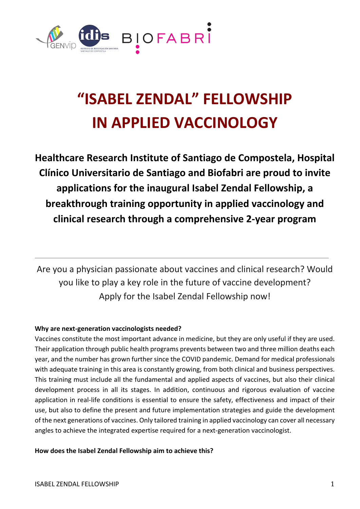

# **"ISABEL ZENDAL" FELLOWSHIP IN APPLIED VACCINOLOGY**

**Healthcare Research Institute of Santiago de Compostela, Hospital Clínico Universitario de Santiago and Biofabri are proud to invite applications for the inaugural Isabel Zendal Fellowship, a breakthrough training opportunity in applied vaccinology and clinical research through a comprehensive 2-year program**

Are you a physician passionate about vaccines and clinical research? Would you like to play a key role in the future of vaccine development? Apply for the Isabel Zendal Fellowship now!

# **Why are next-generation vaccinologists needed?**

Vaccines constitute the most important advance in medicine, but they are only useful if they are used. Their application through public health programs prevents between two and three million deaths each year, and the number has grown further since the COVID pandemic. Demand for medical professionals with adequate training in this area is constantly growing, from both clinical and business perspectives. This training must include all the fundamental and applied aspects of vaccines, but also their clinical development process in all its stages. In addition, continuous and rigorous evaluation of vaccine application in real-life conditions is essential to ensure the safety, effectiveness and impact of their use, but also to define the present and future implementation strategies and guide the development of the next generations of vaccines. Only tailored training in applied vaccinology can cover all necessary angles to achieve the integrated expertise required for a next-generation vaccinologist.

**How does the Isabel Zendal Fellowship aim to achieve this?**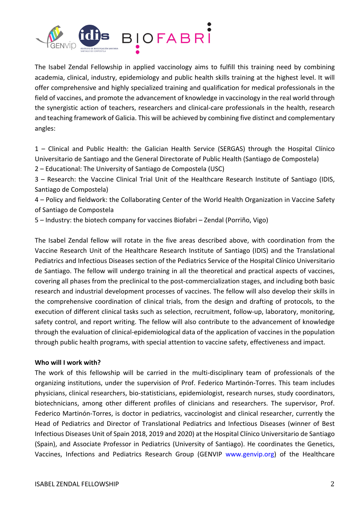

The Isabel Zendal Fellowship in applied vaccinology aims to fulfill this training need by combining academia, clinical, industry, epidemiology and public health skills training at the highest level. It will offer comprehensive and highly specialized training and qualification for medical professionals in the field of vaccines, and promote the advancement of knowledge in vaccinology in the real world through the synergistic action of teachers, researchers and clinical-care professionals in the health, research and teaching framework of Galicia. This will be achieved by combining five distinct and complementary angles:

1 – Clinical and Public Health: the Galician Health Service (SERGAS) through the Hospital Clínico Universitario de Santiago and the General Directorate of Public Health (Santiago de Compostela)

2 – Educational: The University of Santiago de Compostela (USC)

3 – Research: the Vaccine Clinical Trial Unit of the Healthcare Research Institute of Santiago (IDIS, Santiago de Compostela)

4 – Policy and fieldwork: the Collaborating Center of the World Health Organization in Vaccine Safety of Santiago de Compostela

5 – Industry: the biotech company for vaccines Biofabri – Zendal (Porriño, Vigo)

The Isabel Zendal fellow will rotate in the five areas described above, with coordination from the Vaccine Research Unit of the Healthcare Research Institute of Santiago (IDIS) and the Translational Pediatrics and Infectious Diseases section of the Pediatrics Service of the Hospital Clínico Universitario de Santiago. The fellow will undergo training in all the theoretical and practical aspects of vaccines, covering all phases from the preclinical to the post-commercialization stages, and including both basic research and industrial development processes of vaccines. The fellow will also develop their skills in the comprehensive coordination of clinical trials, from the design and drafting of protocols, to the execution of different clinical tasks such as selection, recruitment, follow-up, laboratory, monitoring, safety control, and report writing. The fellow will also contribute to the advancement of knowledge through the evaluation of clinical-epidemiological data of the application of vaccines in the population through public health programs, with special attention to vaccine safety, effectiveness and impact.

## **Who will I work with?**

The work of this fellowship will be carried in the multi-disciplinary team of professionals of the organizing institutions, under the supervision of Prof. Federico Martinón-Torres. This team includes physicians, clinical researchers, bio-statisticians, epidemiologist, research nurses, study coordinators, biotechnicians, among other different profiles of clinicians and researchers. The supervisor, Prof. Federico Martinón-Torres, is doctor in pediatrics, vaccinologist and clinical researcher, currently the Head of Pediatrics and Director of Translational Pediatrics and Infectious Diseases (winner of Best Infectious Diseases Unit of Spain 2018, 2019 and 2020) at the Hospital Clínico Universitario de Santiago (Spain), and Associate Professor in Pediatrics (University of Santiago). He coordinates the Genetics, Vaccines, Infections and Pediatrics Research Group (GENVIP www.genvip.org) of the Healthcare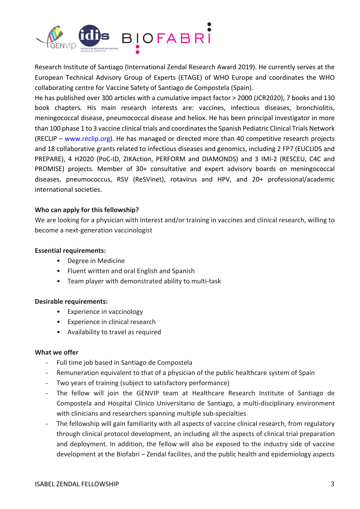

Research Institute of Santiago (International Zendal Research Award 2019). He currently serves at the European Technical Advisory Group of Experts (ETAGE) of WHO Europe and coordinates the WHO collaborating centre for Vaccine Safety of Santiago de Compostela (Spain).

He has published over 300 articles with a cumulative impact factor > 2000 (JCR2020), 7 books and 130 book chapters. His main research interests are: vaccines, infectious diseases, bronchiolitis, meningococcal disease, pneumococcal disease and heliox. He has been principal investigator in more than 100 phase 1 to 3 vaccine clinical trials and coordinates the Spanish Pediatric Clinical Trials Network (RECLIP – www.reclip.org). He has managed or directed more than 40 competitive research projects and 18 collaborative grants related to infectious diseases and genomics, including 2 FP7 (EUCLIDS and PREPARE), 4 H2020 (PoC-ID, ZIKAction, PERFORM and DIAMONDS) and 3 IMI-2 (RESCEU, C4C and PROMISE) projects. Member of 30+ consultative and expert advisory boards on meningococcal diseases, pneumococcus, RSV (ReSVinet), rotavirus and HPV, and 20+ professional/academic international societies.

# **Who can apply for this fellowship?**

We are looking for a physician with interest and/or training in vaccines and clinical research, willing to become a next-generation vaccinologist

# **Essential requirements:**

- Degree in Medicine
- Fluent written and oral English and Spanish
- Team player with demonstrated ability to multi-task

## **Desirable requirements:**

- Experience in vaccinology
- Experience in clinical research
- Availability to travel as required

## **What we offer**

- Full time job based in Santiago de Compostela
- Remuneration equivalent to that of a physician of the public healthcare system of Spain
- Two years of training (subject to satisfactory performance)
- The fellow will join the GENVIP team at Healthcare Research Institute of Santiago de Compostela and Hospital Clínico Universitario de Santiago, a multi-disciplinary environment with clinicians and researchers spanning multiple sub-specialties
- The fellowship will gain familiarity with all aspects of vaccine clinical research, from regulatory through clinical protocol development, an including all the aspects of clinical trial preparation and deployment. In addition, the fellow will also be exposed to the industry side of vaccine development at the Biofabri – Zendal facilites, and the public health and epidemiology aspects